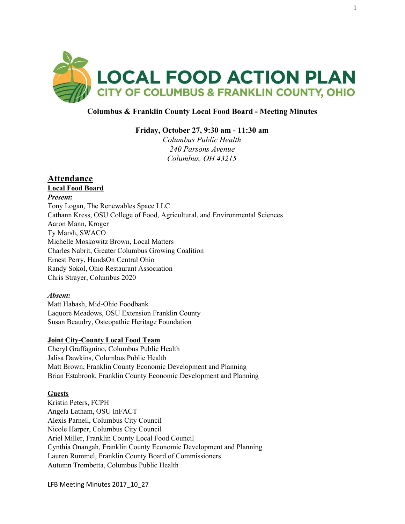

### **Columbus & Franklin County Local Food Board - Meeting Minutes**

#### **Friday, October 27, 9:30 am - 11:30 am**

*Columbus Public Health 240 Parsons Avenue Columbus, OH 43215*

# **Attendance**

# **Local Food Board**

*Present:*

Tony Logan, The Renewables Space LLC Cathann Kress, OSU College of Food, Agricultural, and Environmental Sciences Aaron Mann, Kroger Ty Marsh, SWACO Michelle Moskowitz Brown, Local Matters Charles Nabrit, Greater Columbus Growing Coalition Ernest Perry, HandsOn Central Ohio Randy Sokol, Ohio Restaurant Association Chris Strayer, Columbus 2020

#### *Absent:*

Matt Habash, Mid-Ohio Foodbank Laquore Meadows, OSU Extension Franklin County Susan Beaudry, Osteopathic Heritage Foundation

#### **Joint City-County Local Food Team**

Cheryl Graffagnino, Columbus Public Health Jalisa Dawkins, Columbus Public Health Matt Brown, Franklin County Economic Development and Planning Brian Estabrook, Franklin County Economic Development and Planning

#### **Guests**

Kristin Peters, FCPH Angela Latham, OSU InFACT Alexis Parnell, Columbus City Council Nicole Harper, Columbus City Council Ariel Miller, Franklin County Local Food Council Cynthia Onangah, Franklin County Economic Development and Planning Lauren Rummel, Franklin County Board of Commissioners Autumn Trombetta, Columbus Public Health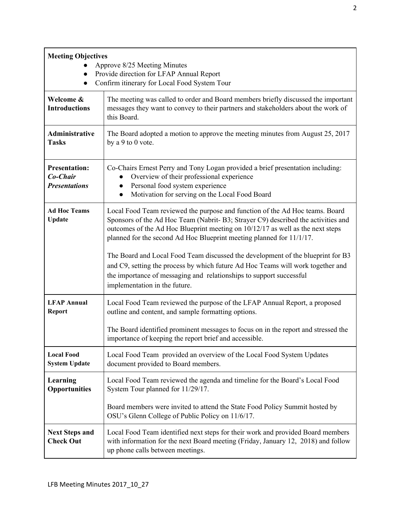| <b>Meeting Objectives</b>                                                |                                                                                                                                                                                                                                                                                                                            |
|--------------------------------------------------------------------------|----------------------------------------------------------------------------------------------------------------------------------------------------------------------------------------------------------------------------------------------------------------------------------------------------------------------------|
| Approve 8/25 Meeting Minutes<br>Provide direction for LFAP Annual Report |                                                                                                                                                                                                                                                                                                                            |
| Confirm itinerary for Local Food System Tour                             |                                                                                                                                                                                                                                                                                                                            |
| Welcome &<br><b>Introductions</b>                                        | The meeting was called to order and Board members briefly discussed the important<br>messages they want to convey to their partners and stakeholders about the work of<br>this Board.                                                                                                                                      |
| Administrative<br><b>Tasks</b>                                           | The Board adopted a motion to approve the meeting minutes from August 25, 2017<br>by a 9 to 0 vote.                                                                                                                                                                                                                        |
| <b>Presentation:</b><br>Co-Chair<br><b>Presentations</b>                 | Co-Chairs Ernest Perry and Tony Logan provided a brief presentation including:<br>Overview of their professional experience<br>Personal food system experience<br>Motivation for serving on the Local Food Board<br>$\bullet$                                                                                              |
| <b>Ad Hoc Teams</b><br><b>Update</b>                                     | Local Food Team reviewed the purpose and function of the Ad Hoc teams. Board<br>Sponsors of the Ad Hoc Team (Nabrit-B3; Strayer C9) described the activities and<br>outcomes of the Ad Hoc Blueprint meeting on 10/12/17 as well as the next steps<br>planned for the second Ad Hoc Blueprint meeting planned for 11/1/17. |
|                                                                          | The Board and Local Food Team discussed the development of the blueprint for B3<br>and C9, setting the process by which future Ad Hoc Teams will work together and<br>the importance of messaging and relationships to support successful<br>implementation in the future.                                                 |
| <b>LFAP Annual</b><br><b>Report</b>                                      | Local Food Team reviewed the purpose of the LFAP Annual Report, a proposed<br>outline and content, and sample formatting options.                                                                                                                                                                                          |
|                                                                          | The Board identified prominent messages to focus on in the report and stressed the<br>importance of keeping the report brief and accessible.                                                                                                                                                                               |
| <b>Local Food</b><br><b>System Update</b>                                | Local Food Team provided an overview of the Local Food System Updates<br>document provided to Board members.                                                                                                                                                                                                               |
| Learning<br><b>Opportunities</b>                                         | Local Food Team reviewed the agenda and timeline for the Board's Local Food<br>System Tour planned for 11/29/17.                                                                                                                                                                                                           |
|                                                                          | Board members were invited to attend the State Food Policy Summit hosted by<br>OSU's Glenn College of Public Policy on 11/6/17.                                                                                                                                                                                            |
| <b>Next Steps and</b><br><b>Check Out</b>                                | Local Food Team identified next steps for their work and provided Board members<br>with information for the next Board meeting (Friday, January 12, 2018) and follow<br>up phone calls between meetings.                                                                                                                   |